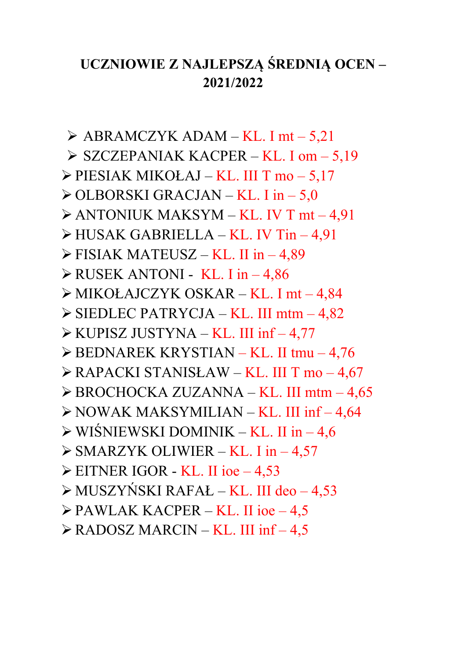## UCZNIOWIE Z NAJLEPSZĄ ŚREDNIĄ OCEN-2021/2022

 $\triangleright$  ABRAMCZYK ADAM – KL. I mt – 5,21  $\triangleright$  SZCZEPANIAK KACPER – KL. I om – 5,19  $\triangleright$  PIESIAK MIKOŁAJ – KL. III T mo – 5,17  $\geq$  OLBORSKI GRACJAN – KL. I in – 5,0  $\triangleright$  ANTONIUK MAKSYM – KL. IV T mt – 4,91  $\triangleright$  HUSAK GABRIELLA – KL. IV Tin – 4,91  $\triangleright$  FISIAK MATEUSZ – KL. II in – 4.89  $\triangleright$  RUSEK ANTONI - KL. I in -4,86  $\triangleright$  MIKOŁAJCZYK OSKAR – KL. I mt – 4,84  $\triangleright$  SIEDLEC PATRYCJA – KL. III mtm – 4,82 > KUPISZ JUSTYNA - KL. III inf - 4,77  $\triangleright$  BEDNAREK KRYSTIAN – KL. II tmu – 4,76  $\triangleright$  RAPACKI STANISŁAW – KL. III T mo – 4,67  $\triangleright$  BROCHOCKA ZUZANNA – KL. III mtm – 4,65  $\triangleright$  NOWAK MAKSYMILIAN – KL. III inf – 4,64  $\triangleright$  WIŚNIEWSKI DOMINIK – KL. II in – 4,6  $\triangleright$  SMARZYK OLIWIER – KL. I in – 4,57  $\triangleright$  EITNER IGOR - KL. II ioe - 4,53  $\triangleright$  MUSZYŃSKI RAFAŁ – KL. III deo – 4,53  $\triangleright$  PAWLAK KACPER – KL. II ioe – 4,5  $\triangleright$  RADOSZ MARCIN – KL. III inf – 4,5